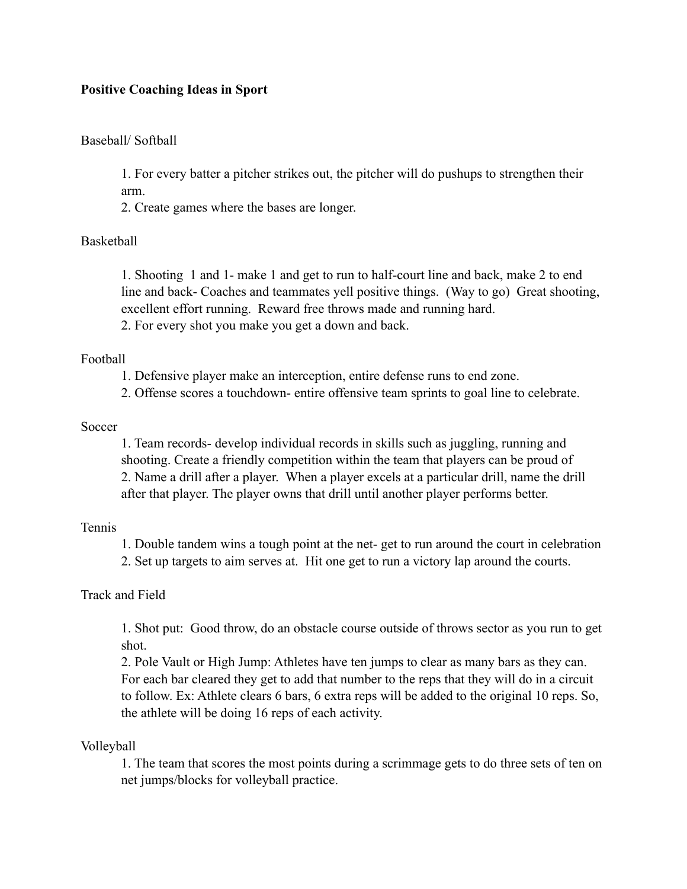# **Positive Coaching Ideas in Sport**

## Baseball/ Softball

1. For every batter a pitcher strikes out, the pitcher will do pushups to strengthen their arm.

2. Create games where the bases are longer.

# Basketball

1. Shooting 1 and 1- make 1 and get to run to half-court line and back, make 2 to end line and back- Coaches and teammates yell positive things. (Way to go) Great shooting, excellent effort running. Reward free throws made and running hard. 2. For every shot you make you get a down and back.

### Football

- 1. Defensive player make an interception, entire defense runs to end zone.
- 2. Offense scores a touchdown- entire offensive team sprints to goal line to celebrate.

#### Soccer

1. Team records- develop individual records in skills such as juggling, running and shooting. Create a friendly competition within the team that players can be proud of 2. Name a drill after a player. When a player excels at a particular drill, name the drill after that player. The player owns that drill until another player performs better.

### Tennis

1. Double tandem wins a tough point at the net- get to run around the court in celebration 2. Set up targets to aim serves at. Hit one get to run a victory lap around the courts.

## Track and Field

1. Shot put: Good throw, do an obstacle course outside of throws sector as you run to get shot.

2. Pole Vault or High Jump: Athletes have ten jumps to clear as many bars as they can. For each bar cleared they get to add that number to the reps that they will do in a circuit to follow. Ex: Athlete clears 6 bars, 6 extra reps will be added to the original 10 reps. So, the athlete will be doing 16 reps of each activity.

## Volleyball

1. The team that scores the most points during a scrimmage gets to do three sets of ten on net jumps/blocks for volleyball practice.